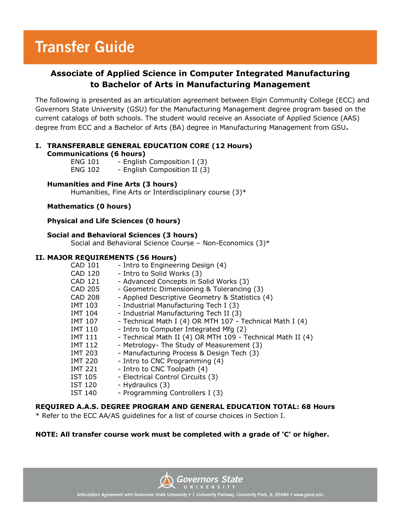## **Transfer Guide**

### **Associate of Applied Science in Computer Integrated Manufacturing to Bachelor of Arts in Manufacturing Management**

The following is presented as an articulation agreement between Elgin Community College (ECC) and Governors State University (GSU) for the Manufacturing Management degree program based on the current catalogs of both schools. The student would receive an Associate of Applied Science (AAS) degree from ECC and a Bachelor of Arts (BA) degree in Manufacturing Management from GSU**.**

#### **I. TRANSFERABLE GENERAL EDUCATION CORE (12 Hours) Communications (6 hours)**

| <b>ENG 101</b> | - English Composition I (3)  |
|----------------|------------------------------|
| <b>ENG 102</b> | - English Composition II (3) |

#### **Humanities and Fine Arts (3 hours)**

Humanities, Fine Arts or Interdisciplinary course (3)\*

#### **Mathematics (0 hours)**

#### **Physical and Life Sciences (0 hours)**

#### **Social and Behavioral Sciences (3 hours)**

Social and Behavioral Science Course – Non-Economics (3)\*

#### **II. MAJOR REQUIREMENTS (56 Hours)**

| <b>CAD 101</b> | - Intro to Engineering Design (4)                          |
|----------------|------------------------------------------------------------|
| CAD 120        | - Intro to Solid Works (3)                                 |
| <b>CAD 121</b> | - Advanced Concepts in Solid Works (3)                     |
| CAD 205        | - Geometric Dimensioning & Tolerancing (3)                 |
| CAD 208        | - Applied Descriptive Geometry & Statistics (4)            |
| IMT 103        | - Industrial Manufacturing Tech I (3)                      |
| IMT 104        | - Industrial Manufacturing Tech II (3)                     |
| IMT 107        | - Technical Math I (4) OR MTH 107 - Technical Math I (4)   |
| <b>IMT 110</b> | - Intro to Computer Integrated Mfg (2)                     |
| <b>IMT 111</b> | - Technical Math II (4) OR MTH 109 - Technical Math II (4) |
| <b>IMT 112</b> | - Metrology- The Study of Measurement (3)                  |
| IMT 203        | - Manufacturing Process & Design Tech (3)                  |
| <b>IMT 220</b> | - Intro to CNC Programming (4)                             |
| <b>IMT 221</b> | - Intro to CNC Toolpath (4)                                |
| <b>IST 105</b> | - Electrical Control Circuits (3)                          |
| IST 120        | - Hydraulics (3)                                           |
| <b>IST 140</b> | - Programming Controllers I (3)                            |

#### **REQUIRED A.A.S. DEGREE PROGRAM AND GENERAL EDUCATION TOTAL: 68 Hours**

\* Refer to the ECC AA/AS guidelines for a list of course choices in Section I.

#### **NOTE: All transfer course work must be completed with a grade of 'C' or higher.**